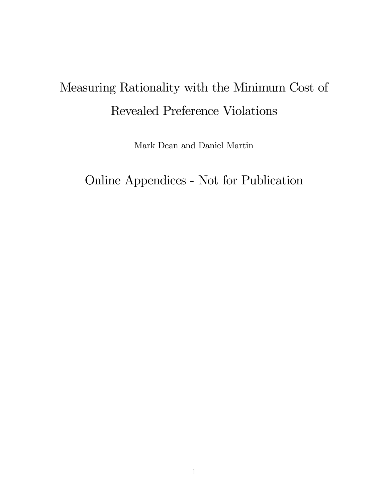# Measuring Rationality with the Minimum Cost of Revealed Preference Violations

Mark Dean and Daniel Martin

Online Appendices - Not for Publication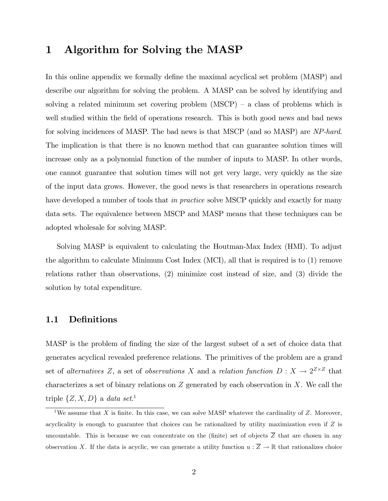# 1 Algorithm for Solving the MASP

In this online appendix we formally define the maximal acyclical set problem (MASP) and describe our algorithm for solving the problem. A MASP can be solved by identifying and solving a related minimum set covering problem  $(MSCP) - a$  class of problems which is well studied within the field of operations research. This is both good news and bad news for solving incidences of MASP. The bad news is that MSCP (and so MASP) are NP-hard. The implication is that there is no known method that can guarantee solution times will increase only as a polynomial function of the number of inputs to MASP. In other words, one cannot guarantee that solution times will not get very large, very quickly as the size of the input data grows. However, the good news is that researchers in operations research have developed a number of tools that *in practice* solve MSCP quickly and exactly for many data sets. The equivalence between MSCP and MASP means that these techniques can be adopted wholesale for solving MASP.

Solving MASP is equivalent to calculating the Houtman-Max Index (HMI). To adjust the algorithm to calculate Minimum Cost Index (MCI), all that is required is to (1) remove relations rather than observations, (2) minimize cost instead of size, and (3) divide the solution by total expenditure.

## 1.1 Definitions

MASP is the problem of finding the size of the largest subset of a set of choice data that generates acyclical revealed preference relations. The primitives of the problem are a grand set of *alternatives* Z, a set of *observations* X and a *relation function*  $D: X \to 2^{Z \times Z}$  that characterizes a set of binary relations on  $Z$  generated by each observation in  $X$ . We call the triple  $\{Z, X, D\}$  a data set.<sup>1</sup>

<sup>&</sup>lt;sup>1</sup>We assume that X is finite. In this case, we can solve MASP whatever the cardinality of Z. Moreover, acyclicality is enough to guarantee that choices can be rationalized by utility maximization even if  $Z$  is uncountable. This is because we can concentrate on the (finite) set of objects  $\overline{Z}$  that are chosen in any observation X. If the data is acyclic, we can generate a utility function  $u : \overline{Z} \to \mathbb{R}$  that rationalizes choice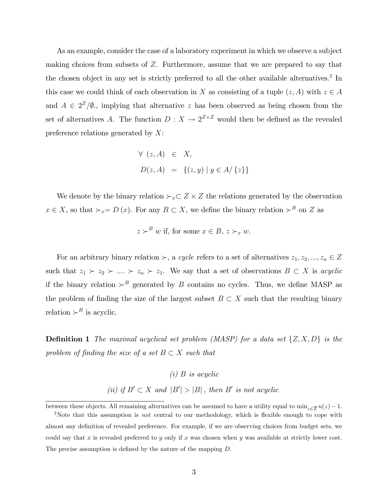As an example, consider the case of a laboratory experiment in which we observe a subject making choices from subsets of Z. Furthermore, assume that we are prepared to say that the chosen object in any set is strictly preferred to all the other available alternatives.<sup>2</sup> In this case we could think of each observation in X as consisting of a tuple  $(z, A)$  with  $z \in A$ and  $A \in 2^{\mathbb{Z}}/\emptyset$ , implying that alternative z has been observed as being chosen from the set of alternatives A. The function  $D: X \to 2^{Z \times Z}$  would then be defined as the revealed preference relations generated by  $X$ :

$$
\forall (z, A) \in X, D(z, A) = \{(z, y) | y \in A / \{z\}\}\
$$

We denote by the binary relation  $\succ_x \subset Z \times Z$  the relations generated by the observation  $x \in X$ , so that  $\succ_x = D(x)$ . For any  $B \subset X$ , we define the binary relation  $\succ^B$  on Z as

$$
z \succ^B w
$$
 if, for some  $x \in B$ ,  $z \succ_x w$ .

For an arbitrary binary relation  $\succ$ , a cycle refers to a set of alternatives  $z_1, z_2, ..., z_n \in Z$ such that  $z_1 \succ z_2 \succ ... \succ z_n \succ z_1$ . We say that a set of observations  $B \subset X$  is acyclic if the binary relation  $\succ^B$  generated by B contains no cycles. Thus, we define MASP as the problem of finding the size of the largest subset  $B \subset X$  such that the resulting binary relation  $\succ^B$  is acyclic.

**Definition 1** The maximal acyclical set problem (MASP) for a data set  $\{Z, X, D\}$  is the problem of finding the size of a set  $B \subset X$  such that

> $(i)$  B is acyclic (ii) if  $B' \subset X$  and  $|B'| > |B|$ , then B' is not acyclic

between these objects. All remaining alternatives can be assumed to have a utility equal to  $\min_{z\in\overline{Z}}u(z)-1$ .

<sup>&</sup>lt;sup>2</sup>Note that this assumption is *not* central to our methodology, which is flexible enough to cope with almost any definition of revealed preference. For example, if we are observing choices from budget sets, we could say that x is revealed preferred to y only if x was chosen when y was available at strictly lower cost. The precise assumption is defined by the nature of the mapping  $D$ .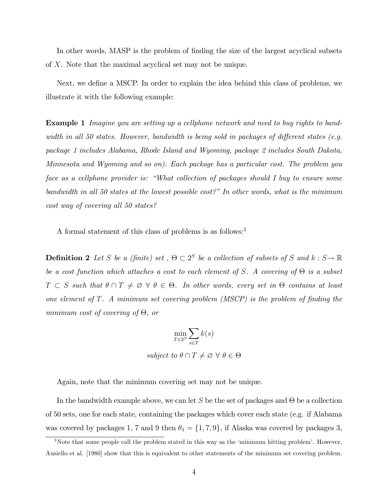In other words, MASP is the problem of finding the size of the largest acyclical subsets of X. Note that the maximal acyclical set may not be unique.

Next, we define a MSCP. In order to explain the idea behind this class of problems, we illustrate it with the following example:

**Example 1** Imagine you are setting up a cellphone network and need to buy rights to bandwidth in all 50 states. However, bandwidth is being sold in packages of different states (e.g. package 1 includes Alabama, Rhode Island and Wyoming, package 2 includes South Dakota, Minnesota and Wyoming and so on). Each package has a particular cost. The problem you face as a cellphone provider is: "What collection of packages should I buy to ensure some bandwidth in all 50 states at the lowest possible cost?" In other words, what is the minimum cost way of covering all 50 states?

A formal statement of this class of problems is as follows:<sup>3</sup>

**Definition 2** Let S be a (finite) set,  $\Theta \subset 2^S$  be a collection of subsets of S and  $k : S \to \mathbb{R}$ be a cost function which attaches a cost to each element of S. A covering of  $\Theta$  is a subset  $T \subset S$  such that  $\theta \cap T \neq \emptyset \ \forall \ \theta \in \Theta$ . In other words, every set in  $\Theta$  contains at least one element of  $T$ . A minimum set covering problem (MSCP) is the problem of finding the minimum cost of covering of  $\Theta$ , or

$$
\min_{T \in 2^{S}} \sum_{s \in T} k(s)
$$
  
subject to  $\theta \cap T \neq \emptyset \ \forall \ \theta \in \Theta$ 

Again, note that the minimum covering set may not be unique.

In the bandwidth example above, we can let S be the set of packages and  $\Theta$  be a collection of 50 sets, one for each state, containing the packages which cover each state (e.g. if Alabama was covered by packages 1, 7 and 9 then  $\theta_1 = \{1, 7, 9\}$ , if Alaska was covered by packages 3,

<sup>&</sup>lt;sup>3</sup>Note that some people call the problem stated in this way as the 'minimum hitting problem'. However, Ausiello et al. [1980] show that this is equivalent to other statements of the minimum set covering problem.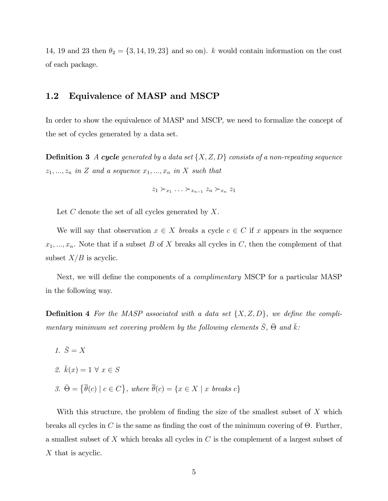14, 19 and 23 then  $\theta_2 = \{3, 14, 19, 23\}$  and so on). k would contain information on the cost of each package.

## 1.2 Equivalence of MASP and MSCP

In order to show the equivalence of MASP and MSCP, we need to formalize the concept of the set of cycles generated by a data set.

**Definition 3** A cycle generated by a data set  $\{X, Z, D\}$  consists of a non-repeating sequence  $z_1, ..., z_n$  in Z and a sequence  $x_1, ..., x_n$  in X such that

$$
z_1 \succ_{x_1} \ldots \succ_{x_{n-1}} z_n \succ_{x_n} z_1
$$

Let  $C$  denote the set of all cycles generated by  $X$ .

We will say that observation  $x \in X$  breaks a cycle  $c \in C$  if x appears in the sequence  $x_1, ..., x_n$ . Note that if a subset B of X breaks all cycles in C, then the complement of that subset  $X/B$  is acyclic.

Next, we will define the components of a *complimentary* MSCP for a particular MASP in the following way.

**Definition 4** For the MASP associated with a data set  $\{X, Z, D\}$ , we define the complimentary minimum set covering problem by the following elements  $\bar{S}$ ,  $\bar{\Theta}$  and  $\bar{k}$ :

- 1.  $\bar{S} = X$
- 2.  $\bar{k}(x) = 1 \forall x \in S$
- 3.  $\bar{\Theta} = \{ \bar{\theta}(c) \mid c \in C \}$ , where  $\bar{\theta}(c) = \{ x \in X \mid x \text{ breaks } c \}$

With this structure, the problem of finding the size of the smallest subset of  $X$  which breaks all cycles in C is the same as finding the cost of the minimum covering of  $\Theta$ . Further, a smallest subset of X which breaks all cycles in C is the complement of a largest subset of X that is acyclic.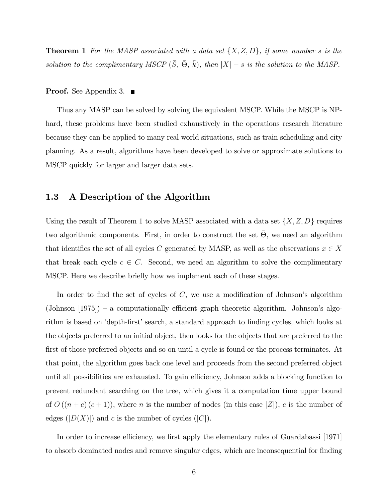**Theorem 1** For the MASP associated with a data set  $\{X, Z, D\}$ , if some number s is the solution to the complimentary MSCP  $(\bar{S}, \bar{\Theta}, \bar{k})$ , then  $|X| - s$  is the solution to the MASP.

#### **Proof.** See Appendix 3.  $\blacksquare$

Thus any MASP can be solved by solving the equivalent MSCP. While the MSCP is NPhard, these problems have been studied exhaustively in the operations research literature because they can be applied to many real world situations, such as train scheduling and city planning. As a result, algorithms have been developed to solve or approximate solutions to MSCP quickly for larger and larger data sets.

## 1.3 A Description of the Algorithm

Using the result of Theorem 1 to solve MASP associated with a data set  $\{X, Z, D\}$  requires two algorithmic components. First, in order to construct the set  $\bar{\Theta}$ , we need an algorithm that identifies the set of all cycles C generated by MASP, as well as the observations  $x \in X$ that break each cycle  $c \in C$ . Second, we need an algorithm to solve the complimentary MSCP. Here we describe briefly how we implement each of these stages.

In order to find the set of cycles of  $C$ , we use a modification of Johnson's algorithm (Johnson  $[1975]$ ) – a computationally efficient graph theoretic algorithm. Johnson's algorithm is based on 'depth-first' search, a standard approach to finding cycles, which looks at the objects preferred to an initial object, then looks for the objects that are preferred to the first of those preferred objects and so on until a cycle is found or the process terminates. At that point, the algorithm goes back one level and proceeds from the second preferred object until all possibilities are exhausted. To gain efficiency, Johnson adds a blocking function to prevent redundant searching on the tree, which gives it a computation time upper bound of  $O((n+e)(c+1))$ , where n is the number of nodes (in this case |Z|), e is the number of edges  $(|D(X)|)$  and c is the number of cycles  $(|C|)$ .

In order to increase efficiency, we first apply the elementary rules of Guardabassi [1971] to absorb dominated nodes and remove singular edges, which are inconsequential for finding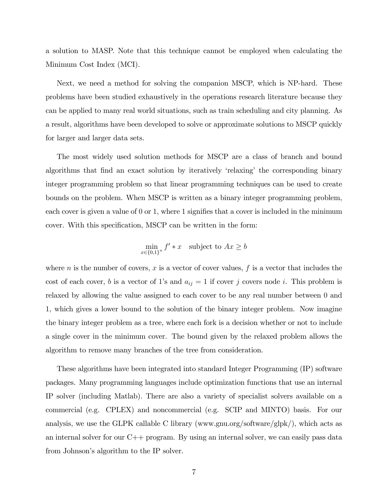a solution to MASP. Note that this technique cannot be employed when calculating the Minimum Cost Index (MCI).

Next, we need a method for solving the companion MSCP, which is NP-hard. These problems have been studied exhaustively in the operations research literature because they can be applied to many real world situations, such as train scheduling and city planning. As a result, algorithms have been developed to solve or approximate solutions to MSCP quickly for larger and larger data sets.

The most widely used solution methods for MSCP are a class of branch and bound algorithms that find an exact solution by iteratively 'relaxing' the corresponding binary integer programming problem so that linear programming techniques can be used to create bounds on the problem. When MSCP is written as a binary integer programming problem, each cover is given a value of  $0$  or  $1$ , where 1 signifies that a cover is included in the minimum cover. With this specification, MSCP can be written in the form:

$$
\min_{x \in \{0,1\}^n} f' * x \quad \text{subject to } Ax \ge b
$$

where n is the number of covers, x is a vector of cover values,  $f$  is a vector that includes the cost of each cover, b is a vector of 1's and  $a_{ij} = 1$  if cover j covers node i. This problem is relaxed by allowing the value assigned to each cover to be any real number between 0 and 1, which gives a lower bound to the solution of the binary integer problem. Now imagine the binary integer problem as a tree, where each fork is a decision whether or not to include a single cover in the minimum cover. The bound given by the relaxed problem allows the algorithm to remove many branches of the tree from consideration.

These algorithms have been integrated into standard Integer Programming (IP) software packages. Many programming languages include optimization functions that use an internal IP solver (including Matlab). There are also a variety of specialist solvers available on a commercial (e.g. CPLEX) and noncommercial (e.g. SCIP and MINTO) basis. For our analysis, we use the GLPK callable C library (www.gnu.org/software/glpk/), which acts as an internal solver for our C++ program. By using an internal solver, we can easily pass data from Johnson's algorithm to the IP solver.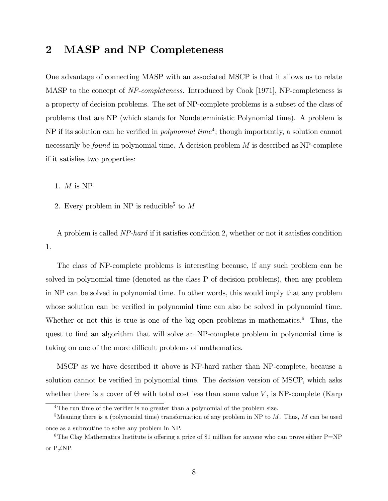# 2 MASP and NP Completeness

One advantage of connecting MASP with an associated MSCP is that it allows us to relate MASP to the concept of NP-completeness. Introduced by Cook [1971], NP-completeness is a property of decision problems. The set of NP-complete problems is a subset of the class of problems that are NP (which stands for Nondeterministic Polynomial time). A problem is NP if its solution can be verified in *polynomial time*<sup>4</sup>; though importantly, a solution cannot necessarily be *found* in polynomial time. A decision problem  $M$  is described as NP-complete if it satisfies two properties:

1. M is NP

2. Every problem in NP is reducible<sup>5</sup> to  $M$ 

A problem is called NP-hard if it satisfies condition 2, whether or not it satisfies condition 1.

The class of NP-complete problems is interesting because, if any such problem can be solved in polynomial time (denoted as the class P of decision problems), then any problem in NP can be solved in polynomial time. In other words, this would imply that any problem whose solution can be verified in polynomial time can also be solved in polynomial time. Whether or not this is true is one of the big open problems in mathematics.<sup>6</sup> Thus, the quest to find an algorithm that will solve an NP-complete problem in polynomial time is taking on one of the more difficult problems of mathematics.

MSCP as we have described it above is NP-hard rather than NP-complete, because a solution cannot be verified in polynomial time. The *decision* version of MSCP, which asks whether there is a cover of  $\Theta$  with total cost less than some value V, is NP-complete (Karp

 $4$ The run time of the verifier is no greater than a polynomial of the problem size.

<sup>&</sup>lt;sup>5</sup>Meaning there is a (polynomial time) transformation of any problem in NP to  $M$ . Thus,  $M$  can be used once as a subroutine to solve any problem in NP.

<sup>&</sup>lt;sup>6</sup>The Clay Mathematics Institute is offering a prize of \$1 million for anyone who can prove either  $P=NP$ or  $P\neq NP$ .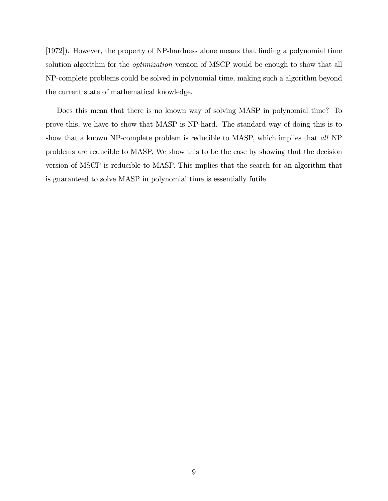[1972]). However, the property of NP-hardness alone means that Önding a polynomial time solution algorithm for the *optimization* version of MSCP would be enough to show that all NP-complete problems could be solved in polynomial time, making such a algorithm beyond the current state of mathematical knowledge.

Does this mean that there is no known way of solving MASP in polynomial time? To prove this, we have to show that MASP is NP-hard. The standard way of doing this is to show that a known NP-complete problem is reducible to MASP, which implies that all NP problems are reducible to MASP. We show this to be the case by showing that the decision version of MSCP is reducible to MASP. This implies that the search for an algorithm that is guaranteed to solve MASP in polynomial time is essentially futile.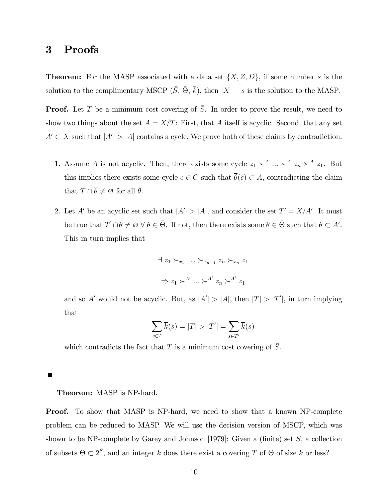# 3 Proofs

**Theorem:** For the MASP associated with a data set  $\{X, Z, D\}$ , if some number s is the solution to the complimentary MSCP  $(\bar{S}, \bar{\Theta}, \bar{k})$ , then  $|X| - s$  is the solution to the MASP.

**Proof.** Let T be a minimum cost covering of  $\overline{S}$ . In order to prove the result, we need to show two things about the set  $A = X/T$ : First, that A itself is acyclic. Second, that any set  $A' \subset X$  such that  $|A'| > |A|$  contains a cycle. We prove both of these claims by contradiction.

- 1. Assume A is not acyclic. Then, there exists some cycle  $z_1 \succ^A ... \succ^A z_n \succ^A z_1$ . But this implies there exists some cycle  $c \in C$  such that  $\overline{\theta}(c) \subset A$ , contradicting the claim that  $T \cap \overline{\theta} \neq \emptyset$  for all  $\overline{\theta}$ .
- 2. Let A' be an acyclic set such that  $|A'| > |A|$ , and consider the set  $T' = X/A'$ . It must be true that  $T' \cap \overline{\theta} \neq \emptyset \ \forall \ \overline{\theta} \in \overline{\Theta}$ . If not, then there exists some  $\overline{\theta} \in \overline{\Theta}$  such that  $\overline{\theta} \subset A'$ . This in turn implies that

$$
\exists z_1 \succ_{x_1} \cdots \succ_{x_{n-1}} z_n \succ_{x_n} z_1
$$

$$
\Rightarrow z_1 \succ^{A'} \cdots \succ^{A'} z_n \succ^{A'} z_1
$$

and so A' would not be acyclic. But, as  $|A'| > |A|$ , then  $|T| > |T'|$ , in turn implying that

$$
\sum_{s \in T} \overline{k}(s) = |T| > |T'| = \sum_{s \in T'} \overline{k}(s)
$$

which contradicts the fact that T is a minimum cost covering of  $\overline{S}$ .

Г

#### Theorem: MASP is NP-hard.

**Proof.** To show that MASP is NP-hard, we need to show that a known NP-complete problem can be reduced to MASP. We will use the decision version of MSCP, which was shown to be NP-complete by Garey and Johnson [1979]: Given a (finite) set  $S$ , a collection of subsets  $\Theta \subset 2^S$ , and an integer k does there exist a covering T of  $\Theta$  of size k or less?